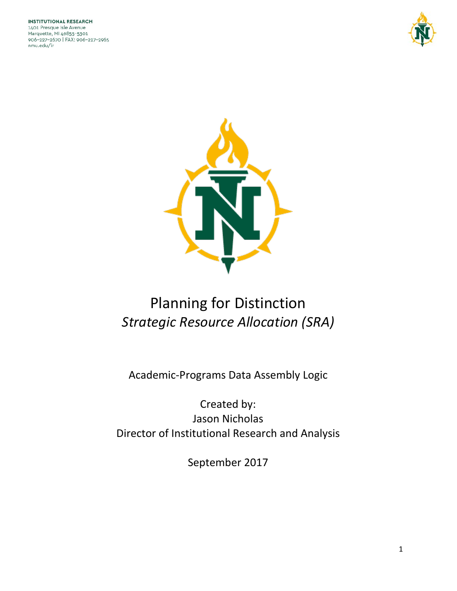



# Planning for Distinction *Strategic Resource Allocation (SRA)*

Academic-Programs Data Assembly Logic

Created by: Jason Nicholas Director of Institutional Research and Analysis

September 2017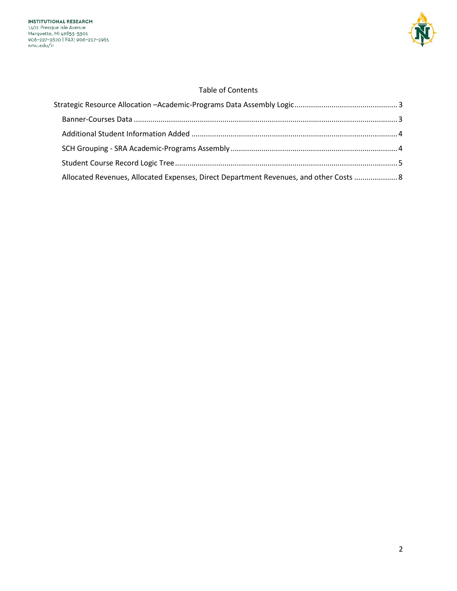

# Table of Contents

| Allocated Revenues, Allocated Expenses, Direct Department Revenues, and other Costs  8 |  |
|----------------------------------------------------------------------------------------|--|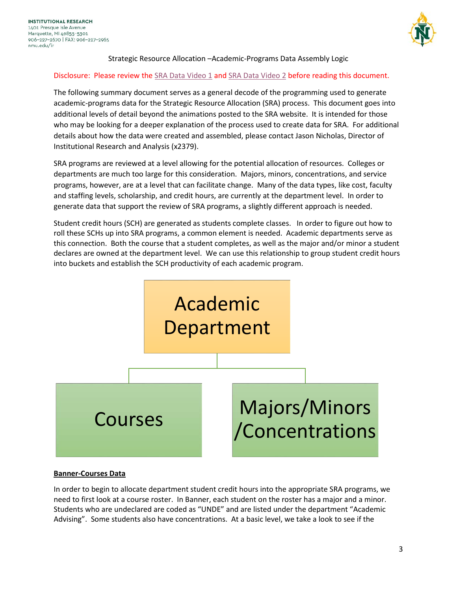<span id="page-2-0"></span>

# Strategic Resource Allocation –Academic-Programs Data Assembly Logic

## Disclosure: Please review the [SRA Data Video 1](https://drive.google.com/open?id=0B2aFmduN93F5d0VwZGhKMzJDamc) and [SRA Data Video 2](https://drive.google.com/open?id=0B-7A9RcjmZ-QR3JlUkdfSGNhT1k) before reading this document.

The following summary document serves as a general decode of the programming used to generate academic-programs data for the Strategic Resource Allocation (SRA) process. This document goes into additional levels of detail beyond the animations posted to the SRA website. It is intended for those who may be looking for a deeper explanation of the process used to create data for SRA. For additional details about how the data were created and assembled, please contact Jason Nicholas, Director of Institutional Research and Analysis (x2379).

SRA programs are reviewed at a level allowing for the potential allocation of resources. Colleges or departments are much too large for this consideration. Majors, minors, concentrations, and service programs, however, are at a level that can facilitate change. Many of the data types, like cost, faculty and staffing levels, scholarship, and credit hours, are currently at the department level. In order to generate data that support the review of SRA programs, a slightly different approach is needed.

Student credit hours (SCH) are generated as students complete classes. In order to figure out how to roll these SCHs up into SRA programs, a common element is needed. Academic departments serve as this connection. Both the course that a student completes, as well as the major and/or minor a student declares are owned at the department level. We can use this relationship to group student credit hours into buckets and establish the SCH productivity of each academic program.



#### <span id="page-2-1"></span>**Banner-Courses Data**

In order to begin to allocate department student credit hours into the appropriate SRA programs, we need to first look at a course roster. In Banner, each student on the roster has a major and a minor. Students who are undeclared are coded as "UNDE" and are listed under the department "Academic Advising". Some students also have concentrations. At a basic level, we take a look to see if the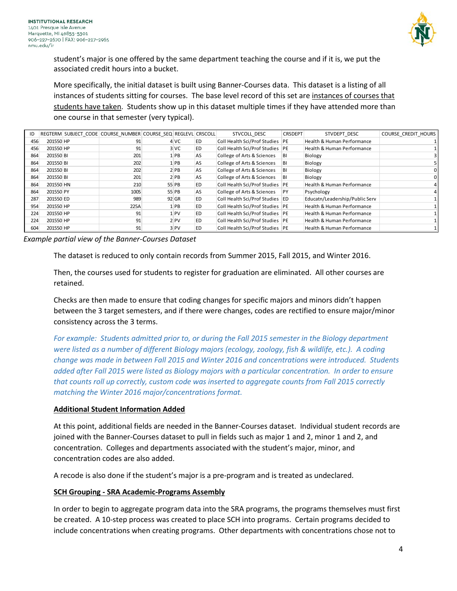

student's major is one offered by the same department teaching the course and if it is, we put the associated credit hours into a bucket.

More specifically, the initial dataset is built using Banner-Courses data. This dataset is a listing of all instances of students sitting for courses. The base level record of this set are instances of courses that students have taken. Students show up in this dataset multiple times if they have attended more than one course in that semester (very typical).

| ID  |           | REGTERM SUBJECT CODE COURSE NUMBER COURSE SEQ REGLEVL CRSCOLL |                 |    | STVCOLL DESC                      | <b>CRSDEPT</b> | STVDEPT DESC                   | <b>COURSE CREDIT HOURS</b> |
|-----|-----------|---------------------------------------------------------------|-----------------|----|-----------------------------------|----------------|--------------------------------|----------------------------|
| 456 | 201550 HP | 91                                                            | 4 VC            | ED | Coll Health Sci/Prof Studies PE   |                | Health & Human Performance     |                            |
| 456 | 201550 HP | 91                                                            | 3 VC            | ED | Coll Health Sci/Prof Studies PE   |                | Health & Human Performance     |                            |
| 864 | 201550 BI | 201                                                           | 1 PB            | AS | College of Arts & Sciences        | BI             | Biology                        |                            |
| 864 | 201550 BI | 202                                                           | $1$ PB          | AS | College of Arts & Sciences        | BI             | Biology                        |                            |
| 864 | 201550 BI | 202                                                           | 2 PB            | AS | College of Arts & Sciences        | BI             | Biology                        |                            |
| 864 | 201550 BI | 201                                                           | 2 PB            | AS | College of Arts & Sciences        | BI             | Biology                        |                            |
| 864 | 201550 HN | 210                                                           | 55 PB           | ED | Coll Health Sci/Prof Studies PE   |                | Health & Human Performance     |                            |
| 864 | 201550 PY | 100S                                                          | 55 PB           | AS | College of Arts & Sciences        | PY             | Psychology                     |                            |
| 287 | 201550 ED | 989                                                           | 92 GR           | ED | Coll Health Sci/Prof Studies ED   |                | Educatn/Leadership/Public Serv |                            |
| 954 | 201550 HP | 225A                                                          | $1$ PB          | ED | Coll Health Sci/Prof Studies PE   |                | Health & Human Performance     |                            |
| 224 | 201550 HP | 91                                                            | 1 <sub>PV</sub> | ED | Coll Health Sci/Prof Studies   PE |                | Health & Human Performance     |                            |
| 224 | 201550 HP | 91                                                            | 2 <sub>PV</sub> | ED | Coll Health Sci/Prof Studies PE   |                | Health & Human Performance     |                            |
| 604 | 201550 HP | 91                                                            | 3 PV            | ED | Coll Health Sci/Prof Studies   PE |                | Health & Human Performance     |                            |

*Example partial view of the Banner-Courses Dataset*

The dataset is reduced to only contain records from Summer 2015, Fall 2015, and Winter 2016.

Then, the courses used for students to register for graduation are eliminated. All other courses are retained.

Checks are then made to ensure that coding changes for specific majors and minors didn't happen between the 3 target semesters, and if there were changes, codes are rectified to ensure major/minor consistency across the 3 terms.

*For example: Students admitted prior to, or during the Fall 2015 semester in the Biology department were listed as a number of different Biology majors (ecology, zoology, fish & wildlife, etc.). A coding change was made in between Fall 2015 and Winter 2016 and concentrations were introduced. Students added after Fall 2015 were listed as Biology majors with a particular concentration. In order to ensure that counts roll up correctly, custom code was inserted to aggregate counts from Fall 2015 correctly matching the Winter 2016 major/concentrations format.*

#### <span id="page-3-0"></span>**Additional Student Information Added**

At this point, additional fields are needed in the Banner-Courses dataset. Individual student records are joined with the Banner-Courses dataset to pull in fields such as major 1 and 2, minor 1 and 2, and concentration. Colleges and departments associated with the student's major, minor, and concentration codes are also added.

A recode is also done if the student's major is a pre-program and is treated as undeclared.

# <span id="page-3-1"></span>**SCH Grouping - SRA Academic-Programs Assembly**

In order to begin to aggregate program data into the SRA programs, the programs themselves must first be created. A 10-step process was created to place SCH into programs. Certain programs decided to include concentrations when creating programs. Other departments with concentrations chose not to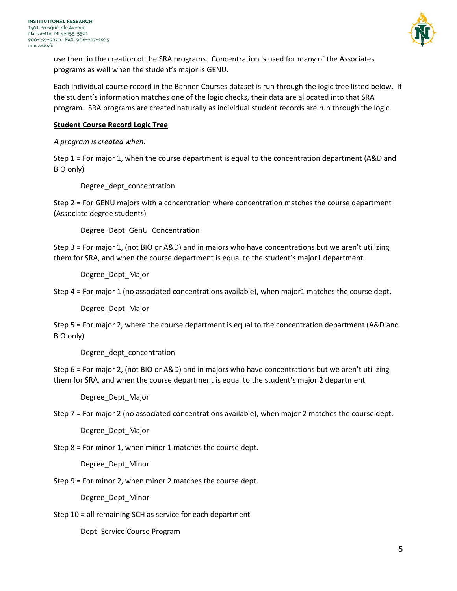

use them in the creation of the SRA programs. Concentration is used for many of the Associates programs as well when the student's major is GENU.

Each individual course record in the Banner-Courses dataset is run through the logic tree listed below. If the student's information matches one of the logic checks, their data are allocated into that SRA program. SRA programs are created naturally as individual student records are run through the logic.

## **Student Course Record Logic Tree**

# *A program is created when:*

Step 1 = For major 1, when the course department is equal to the concentration department (A&D and BIO only)

<span id="page-4-0"></span>Degree\_dept\_concentration

Step 2 = For GENU majors with a concentration where concentration matches the course department (Associate degree students)

Degree Dept GenU Concentration

Step 3 = For major 1, (not BIO or A&D) and in majors who have concentrations but we aren't utilizing them for SRA, and when the course department is equal to the student's major1 department

Degree\_Dept\_Major

Step 4 = For major 1 (no associated concentrations available), when major1 matches the course dept.

Degree\_Dept\_Major

Step 5 = For major 2, where the course department is equal to the concentration department (A&D and BIO only)

Degree\_dept\_concentration

Step 6 = For major 2, (not BIO or A&D) and in majors who have concentrations but we aren't utilizing them for SRA, and when the course department is equal to the student's major 2 department

Degree\_Dept\_Major

Step 7 = For major 2 (no associated concentrations available), when major 2 matches the course dept.

Degree\_Dept\_Major

Step 8 = For minor 1, when minor 1 matches the course dept.

Degree\_Dept\_Minor

Step 9 = For minor 2, when minor 2 matches the course dept.

Degree\_Dept\_Minor

Step 10 = all remaining SCH as service for each department

Dept\_Service Course Program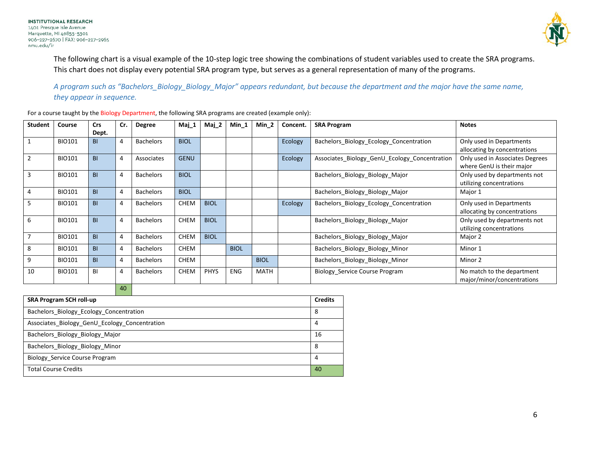

The following chart is a visual example of the 10-step logic tree showing the combinations of student variables used to create the SRA programs. This chart does not display every potential SRA program type, but serves as a general representation of many of the programs.

*A program such as "Bachelors\_Biology\_Biology\_Major" appears redundant, but because the department and the major have the same name, they appear in sequence.*

For a course taught by the Biology Department, the following SRA programs are created (example only):

| <b>Student</b> | Course        | <b>Crs</b>     | Cr. | <b>Degree</b>    | Maj_1       | $Maj_2$     | Min 1       | Min 2       | Concent. | <b>SRA Program</b>                            | <b>Notes</b>                    |
|----------------|---------------|----------------|-----|------------------|-------------|-------------|-------------|-------------|----------|-----------------------------------------------|---------------------------------|
|                |               | Dept.          |     |                  |             |             |             |             |          |                                               |                                 |
|                | <b>BIO101</b> | <b>BI</b>      |     | <b>Bachelors</b> | <b>BIOL</b> |             |             |             | Ecology  | Bachelors Biology Ecology Concentration       | Only used in Departments        |
|                |               |                |     |                  |             |             |             |             |          |                                               | allocating by concentrations    |
|                | <b>BIO101</b> | <b>BI</b>      |     | Associates       | <b>GENU</b> |             |             |             | Ecology  | Associates Biology GenU Ecology Concentration | Only used in Associates Degrees |
|                |               |                |     |                  |             |             |             |             |          |                                               | where GenU is their major       |
| 3              | <b>BIO101</b> | B <sub>1</sub> |     | <b>Bachelors</b> | <b>BIOL</b> |             |             |             |          | Bachelors Biology Biology Major               | Only used by departments not    |
|                |               |                |     |                  |             |             |             |             |          |                                               | utilizing concentrations        |
|                | <b>BIO101</b> | <b>BI</b>      |     | <b>Bachelors</b> | <b>BIOL</b> |             |             |             |          | Bachelors_Biology_Biology_Major               | Major 1                         |
| 5              | <b>BIO101</b> | <b>BI</b>      |     | <b>Bachelors</b> | <b>CHEM</b> | <b>BIOL</b> |             |             | Ecology  | Bachelors Biology Ecology Concentration       | Only used in Departments        |
|                |               |                |     |                  |             |             |             |             |          |                                               | allocating by concentrations    |
| 6              | <b>BIO101</b> | <b>BI</b>      |     | <b>Bachelors</b> | <b>CHEM</b> | <b>BIOL</b> |             |             |          | Bachelors_Biology_Biology_Major               | Only used by departments not    |
|                |               |                |     |                  |             |             |             |             |          |                                               | utilizing concentrations        |
|                | <b>BIO101</b> | <b>BI</b>      |     | <b>Bachelors</b> | <b>CHEM</b> | <b>BIOL</b> |             |             |          | Bachelors_Biology_Biology_Major               | Major 2                         |
| 8              | BIO101        | <b>BI</b>      |     | <b>Bachelors</b> | <b>CHEM</b> |             | <b>BIOL</b> |             |          | Bachelors_Biology_Biology_Minor               | Minor 1                         |
| 9              | <b>BIO101</b> | <b>BI</b>      |     | <b>Bachelors</b> | <b>CHEM</b> |             |             | <b>BIOL</b> |          | Bachelors_Biology_Biology_Minor               | Minor 2                         |
| 10             | <b>BIO101</b> | BI             | 4   | <b>Bachelors</b> | <b>CHEM</b> | <b>PHYS</b> | ENG         | <b>MATH</b> |          | Biology Service Course Program                | No match to the department      |
|                |               |                |     |                  |             |             |             |             |          |                                               | major/minor/concentrations      |
|                |               |                |     |                  |             |             |             |             |          |                                               |                                 |

| <b>SRA Program SCH roll-up</b>                |    |  |  |  |  |
|-----------------------------------------------|----|--|--|--|--|
| Bachelors Biology Ecology Concentration       | 8  |  |  |  |  |
| Associates Biology GenU Ecology Concentration | 4  |  |  |  |  |
| Bachelors_Biology_Biology_Major               | 16 |  |  |  |  |
| Bachelors Biology Biology Minor               | 8  |  |  |  |  |
| Biology Service Course Program                | 4  |  |  |  |  |
| <b>Total Course Credits</b>                   | 40 |  |  |  |  |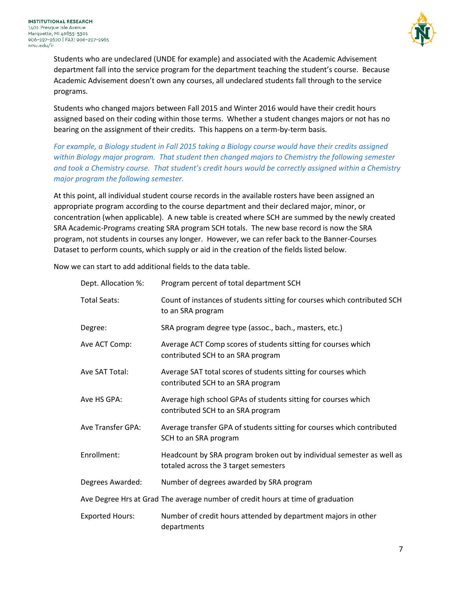

Students who are undeclared (UNDE for example) and associated with the Academic Advisement department fall into the service program for the department teaching the student's course. Because Academic Advisement doesn't own any courses, all undeclared students fall through to the service programs.

Students who changed majors between Fall 2015 and Winter 2016 would have their credit hours assigned based on their coding within those terms. Whether a student changes majors or not has no bearing on the assignment of their credits. This happens on a term-by-term basis.

*For example, a Biology student in Fall 2015 taking a Biology course would have their credits assigned within Biology major program. That student then changed majors to Chemistry the following semester and took a Chemistry course. That student's credit hours would be correctly assigned within a Chemistry major program the following semester.* 

At this point, all individual student course records in the available rosters have been assigned an appropriate program according to the course department and their declared major, minor, or concentration (when applicable). A new table is created where SCH are summed by the newly created SRA Academic-Programs creating SRA program SCH totals. The new base record is now the SRA program, not students in courses any longer. However, we can refer back to the Banner-Courses Dataset to perform counts, which supply or aid in the creation of the fields listed below.

Now we can start to add additional fields to the data table.

| Dept. Allocation %:    | Program percent of total department SCH                                                                        |
|------------------------|----------------------------------------------------------------------------------------------------------------|
| <b>Total Seats:</b>    | Count of instances of students sitting for courses which contributed SCH<br>to an SRA program                  |
| Degree:                | SRA program degree type (assoc., bach., masters, etc.)                                                         |
| Ave ACT Comp:          | Average ACT Comp scores of students sitting for courses which<br>contributed SCH to an SRA program             |
| Ave SAT Total:         | Average SAT total scores of students sitting for courses which<br>contributed SCH to an SRA program            |
| Ave HS GPA:            | Average high school GPAs of students sitting for courses which<br>contributed SCH to an SRA program            |
| Ave Transfer GPA:      | Average transfer GPA of students sitting for courses which contributed<br>SCH to an SRA program                |
| Enrollment:            | Headcount by SRA program broken out by individual semester as well as<br>totaled across the 3 target semesters |
| Degrees Awarded:       | Number of degrees awarded by SRA program                                                                       |
|                        | Ave Degree Hrs at Grad The average number of credit hours at time of graduation                                |
| <b>Exported Hours:</b> | Number of credit hours attended by department majors in other<br>departments                                   |